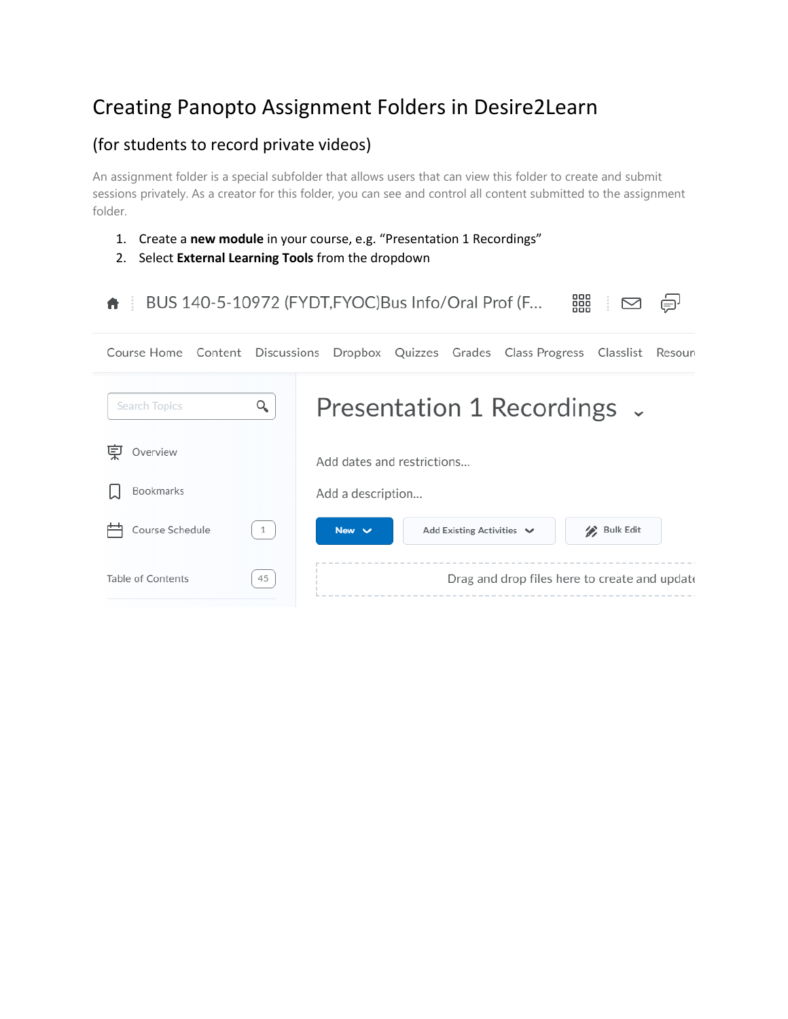# Creating Panopto Assignment Folders in Desire2Learn

## (for students to record private videos)

An assignment folder is a special subfolder that allows users that can view this folder to create and submit sessions privately. As a creator for this folder, you can see and control all content submitted to the assignment folder.

- 1. Create a **new module** in your course, e.g. "Presentation 1 Recordings"
- 2. Select **External Learning Tools** from the dropdown

| 器<br>BUS 140-5-10972 (FYDT, FYOC) Bus Info/Oral Prof (F |              |                                                                                              |  |  |
|---------------------------------------------------------|--------------|----------------------------------------------------------------------------------------------|--|--|
|                                                         |              | Course Home Content Discussions Dropbox Quizzes Grades Class Progress<br>Classlist<br>Resour |  |  |
| Search Topics                                           | Q            | Presentation 1 Recordings $\sim$                                                             |  |  |
| پا<br>Overview                                          |              | Add dates and restrictions                                                                   |  |  |
| Bookmarks                                               |              | Add a description                                                                            |  |  |
| Course Schedule                                         | $\mathbf{1}$ | Bulk Edit<br>New $\vee$<br>Add Existing Activities $\vee$                                    |  |  |
| Table of Contents                                       | 45           | Drag and drop files here to create and update                                                |  |  |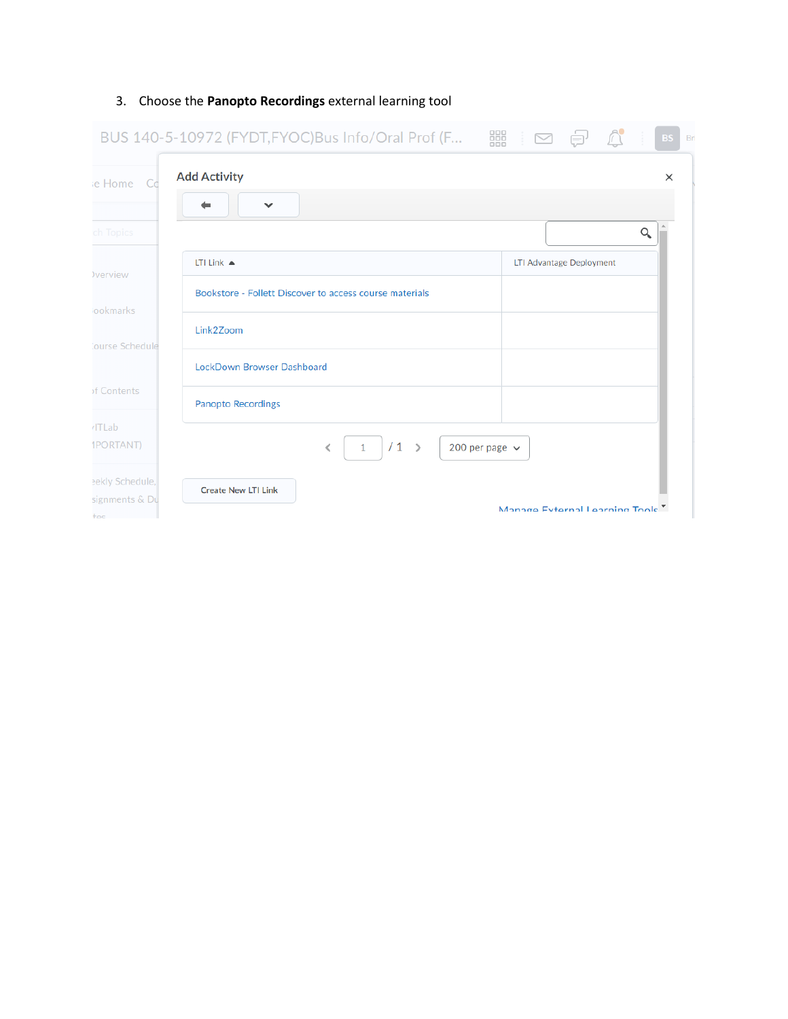|                                             | BUS 140-5-10972 (FYDT,FYOC)Bus Info/Oral Prof (F 闘 □ □ □ | $\triangle$<br>Bri<br><b>BS</b> |
|---------------------------------------------|----------------------------------------------------------|---------------------------------|
| ie Home Co                                  | <b>Add Activity</b>                                      | $\times$                        |
|                                             | $\checkmark$                                             |                                 |
| ch Topics                                   |                                                          | $\alpha$                        |
| <b>Verview</b>                              | LTI Link $\triangle$                                     | LTI Advantage Deployment        |
| ookmarks                                    | Bookstore - Follett Discover to access course materials  |                                 |
| ourse Schedule                              | Link2Zoom                                                |                                 |
|                                             | LockDown Browser Dashboard                               |                                 |
| of Contents                                 | <b>Panopto Recordings</b>                                |                                 |
| /ITLab<br><b>IPORTANT)</b>                  | $/1$ ><br>200 per page $\sim$<br>∢<br>$\mathbf{1}$       |                                 |
| eekly Schedule,<br>signments & Du<br>$\tau$ | <b>Create New LTI Link</b>                               | Manage External Learning Tools  |

### 3. Choose the **Panopto Recordings** external learning tool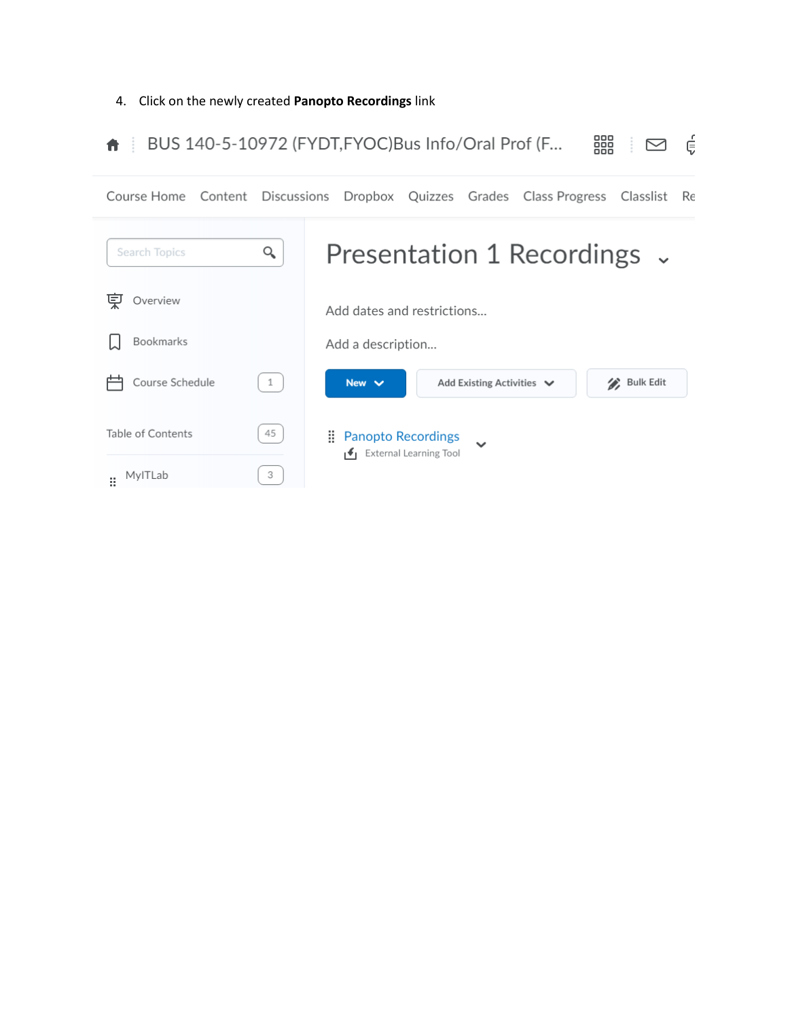#### 4. Click on the newly created **Panopto Recordings** link

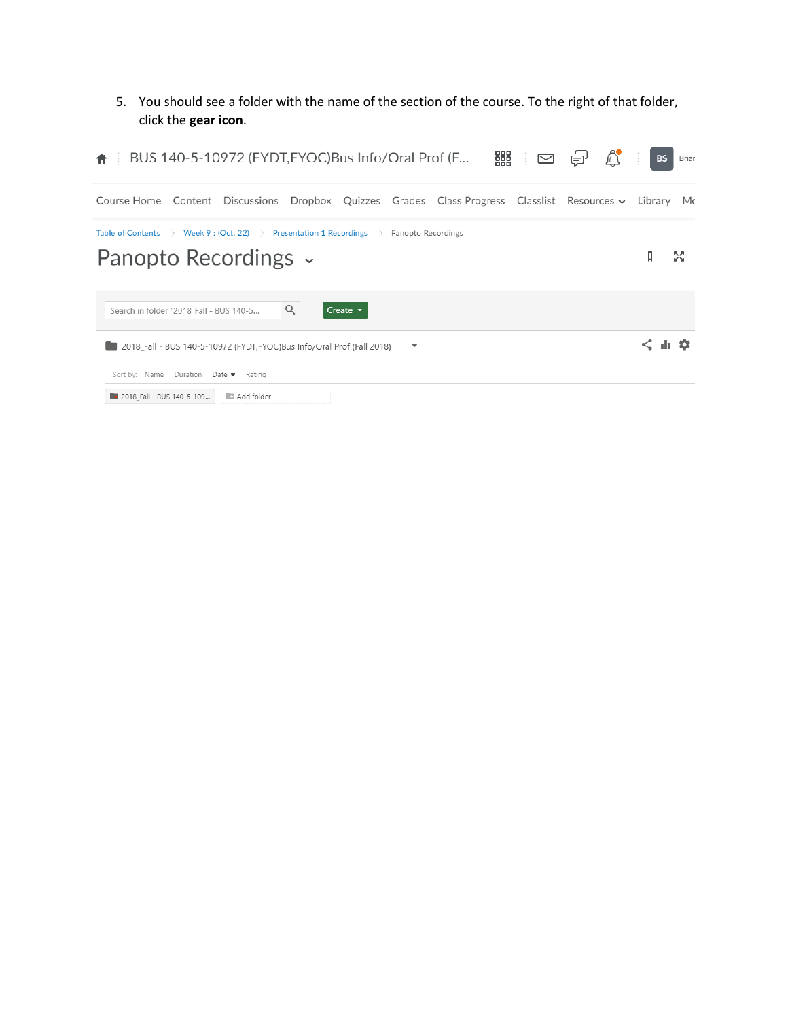5. You should see a folder with the name of the section of the course. To the right of that folder, click the **gear icon**.

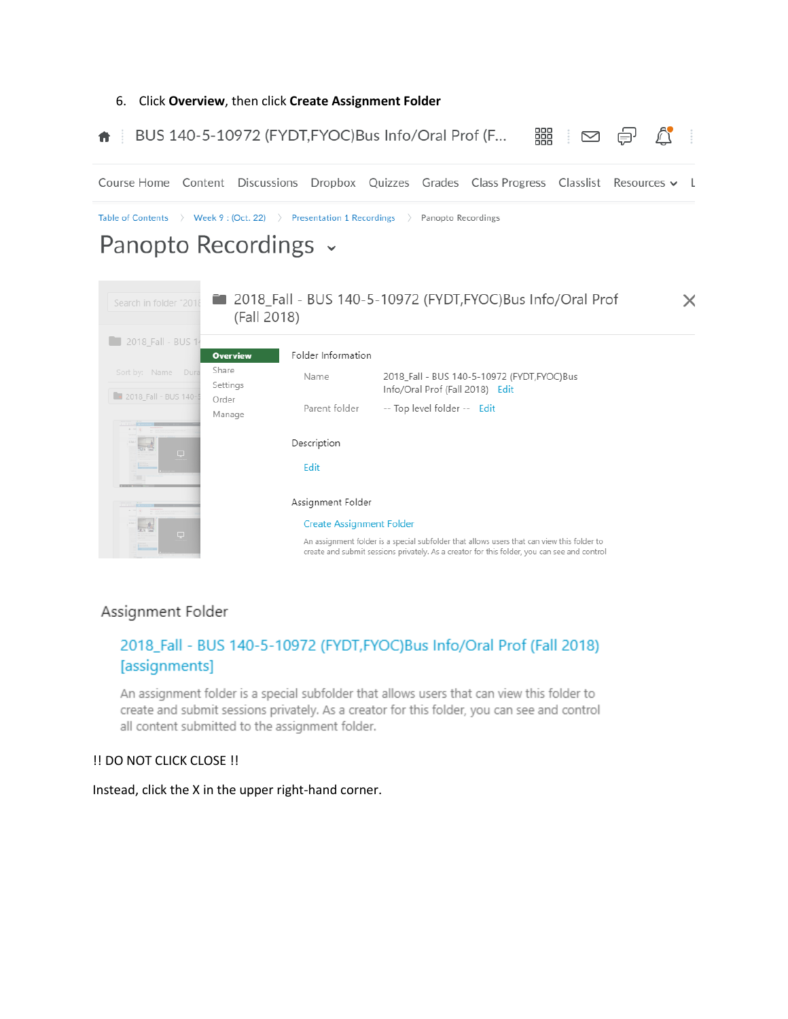

### Assignment Folder

### 2018\_Fall - BUS 140-5-10972 (FYDT,FYOC)Bus Info/Oral Prof (Fall 2018) [assignments]

An assignment folder is a special subfolder that allows users that can view this folder to create and submit sessions privately. As a creator for this folder, you can see and control all content submitted to the assignment folder.

#### !! DO NOT CLICK CLOSE !!

Instead, click the X in the upper right-hand corner.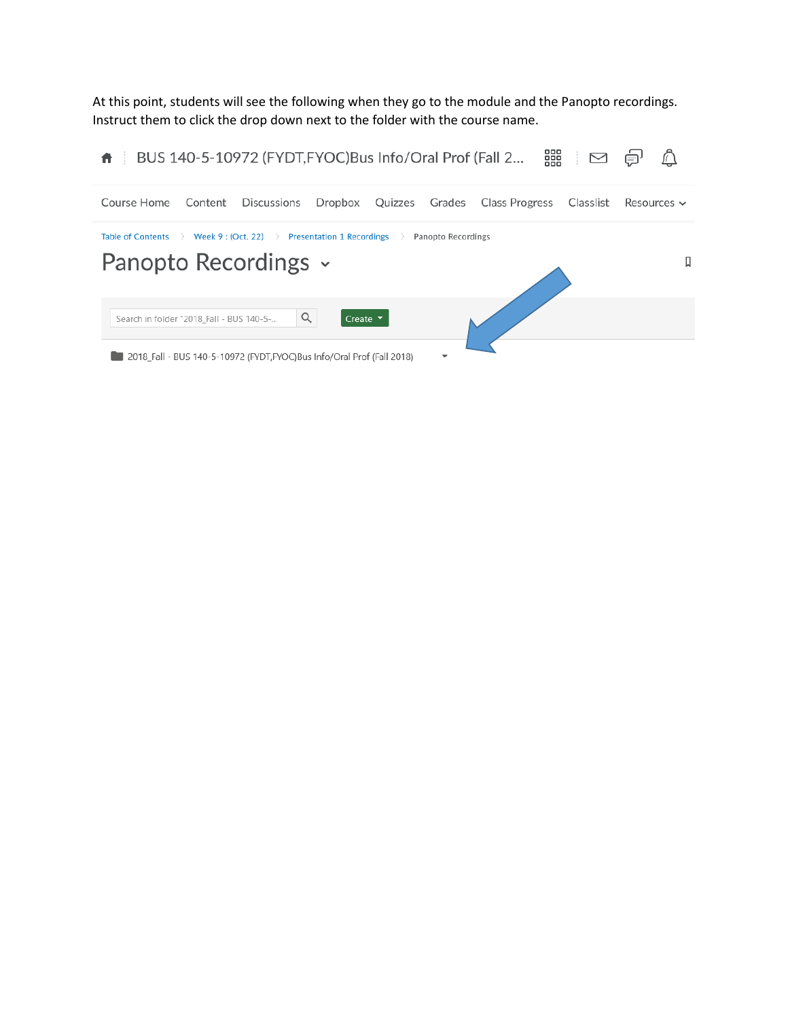At this point, students will see the following when they go to the module and the Panopto recordings. Instruct them to click the drop down next to the folder with the course name.

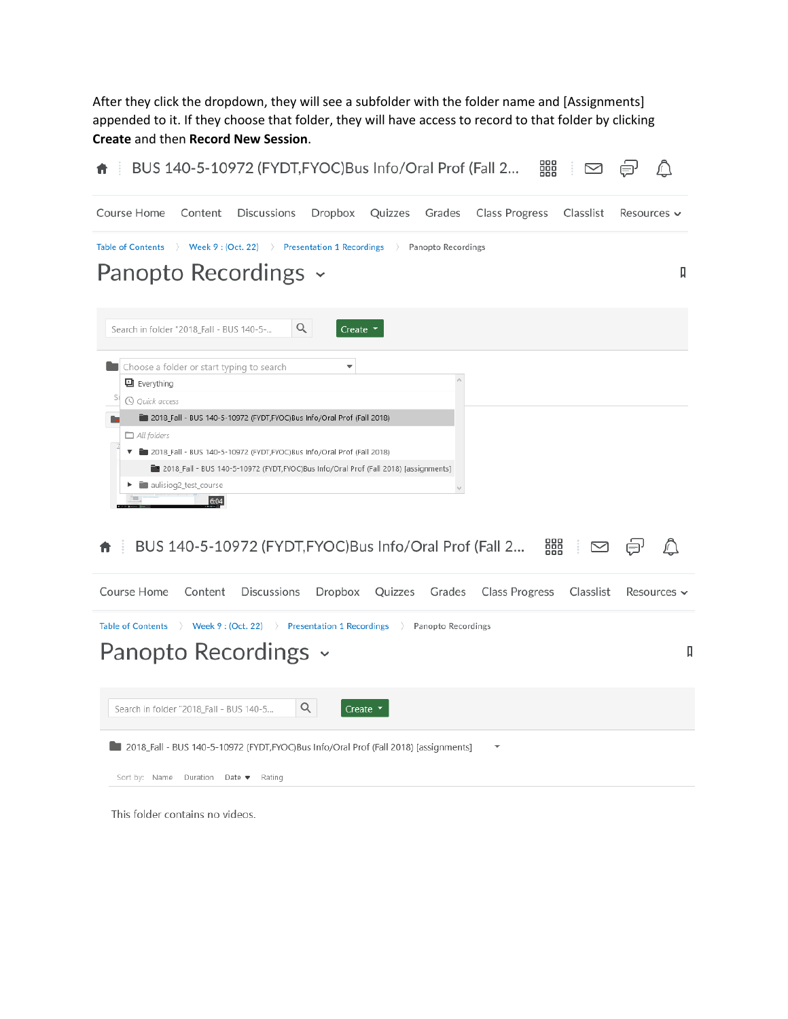After they click the dropdown, they will see a subfolder with the folder name and [Assignments] appended to it. If they choose that folder, they will have access to record to that folder by clicking **Create** and then **Record New Session**.



This folder contains no videos.